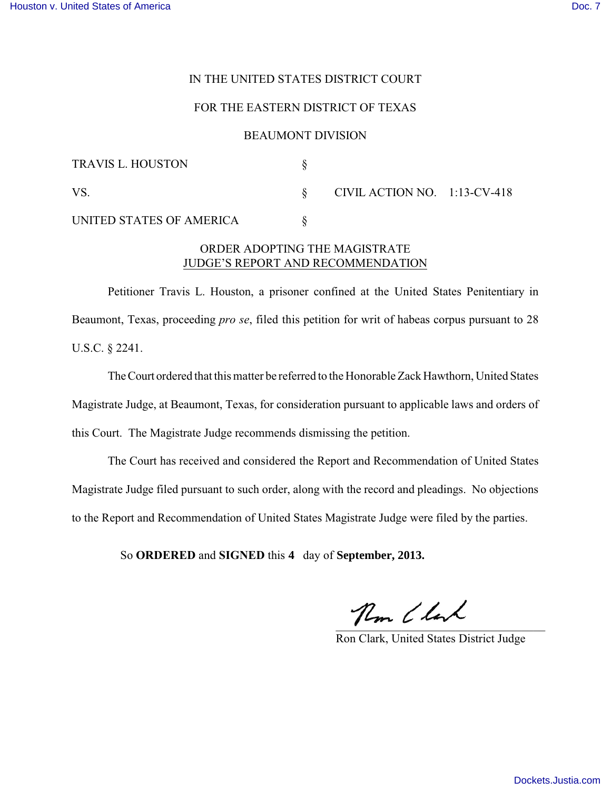## IN THE UNITED STATES DISTRICT COURT

### FOR THE EASTERN DISTRICT OF TEXAS

#### BEAUMONT DIVISION

| <b>TRAVIS L. HOUSTON</b> |                                 |  |
|--------------------------|---------------------------------|--|
| VS                       | CIVIL ACTION NO. $1:13$ -CV-418 |  |
| UNITED STATES OF AMERICA |                                 |  |

## ORDER ADOPTING THE MAGISTRATE JUDGE'S REPORT AND RECOMMENDATION

Petitioner Travis L. Houston, a prisoner confined at the United States Penitentiary in Beaumont, Texas, proceeding *pro se*, filed this petition for writ of habeas corpus pursuant to 28 U.S.C. § 2241.

TheCourt ordered that this matter be referred to the Honorable Zack Hawthorn, United States Magistrate Judge, at Beaumont, Texas, for consideration pursuant to applicable laws and orders of this Court. The Magistrate Judge recommends dismissing the petition.

The Court has received and considered the Report and Recommendation of United States Magistrate Judge filed pursuant to such order, along with the record and pleadings. No objections to the Report and Recommendation of United States Magistrate Judge were filed by the parties.

So **ORDERED** and **SIGNED** this 4 day of **September**, 2013.

 $\overline{\phantom{a}}$ 4 day of September, 2013.<br>
Then Clark, United States District Judge